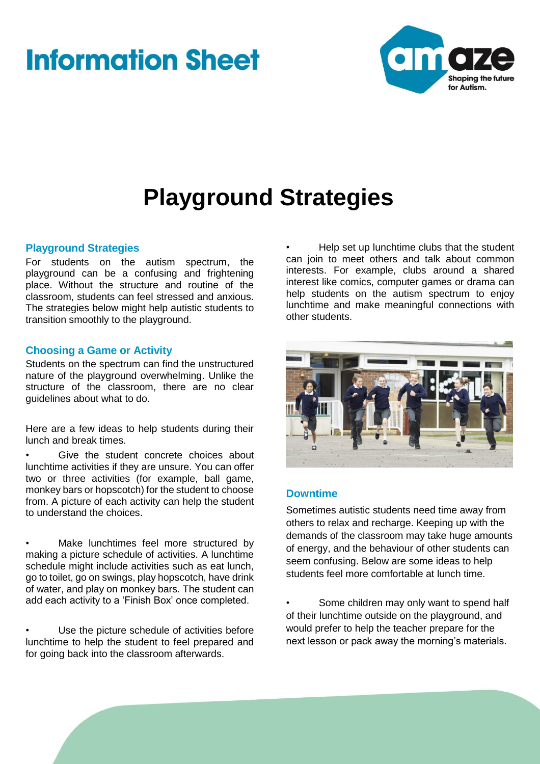# **Information Sheet**



## **Playground Strategies**

## **Playground Strategies**

For students on the autism spectrum, the playground can be a confusing and frightening place. Without the structure and routine of the classroom, students can feel stressed and anxious. The strategies below might help autistic students to transition smoothly to the playground.

## **Choosing a Game or Activity**

Students on the spectrum can find the unstructured nature of the playground overwhelming. Unlike the structure of the classroom, there are no clear guidelines about what to do.

Here are a few ideas to help students during their lunch and break times.

Give the student concrete choices about lunchtime activities if they are unsure. You can offer two or three activities (for example, ball game, monkey bars or hopscotch) for the student to choose from. A picture of each activity can help the student to understand the choices.

Make lunchtimes feel more structured by making a picture schedule of activities. A lunchtime schedule might include activities such as eat lunch, go to toilet, go on swings, play hopscotch, have drink of water, and play on monkey bars. The student can add each activity to a 'Finish Box' once completed.

Use the picture schedule of activities before lunchtime to help the student to feel prepared and for going back into the classroom afterwards.

• Help set up lunchtime clubs that the student can join to meet others and talk about common interests. For example, clubs around a shared interest like comics, computer games or drama can help students on the autism spectrum to enjoy lunchtime and make meaningful connections with other students.



## **Downtime**

Sometimes autistic students need time away from others to relax and recharge. Keeping up with the demands of the classroom may take huge amounts of energy, and the behaviour of other students can seem confusing. Below are some ideas to help students feel more comfortable at lunch time.

Some children may only want to spend half of their lunchtime outside on the playground, and would prefer to help the teacher prepare for the next lesson or pack away the morning's materials.